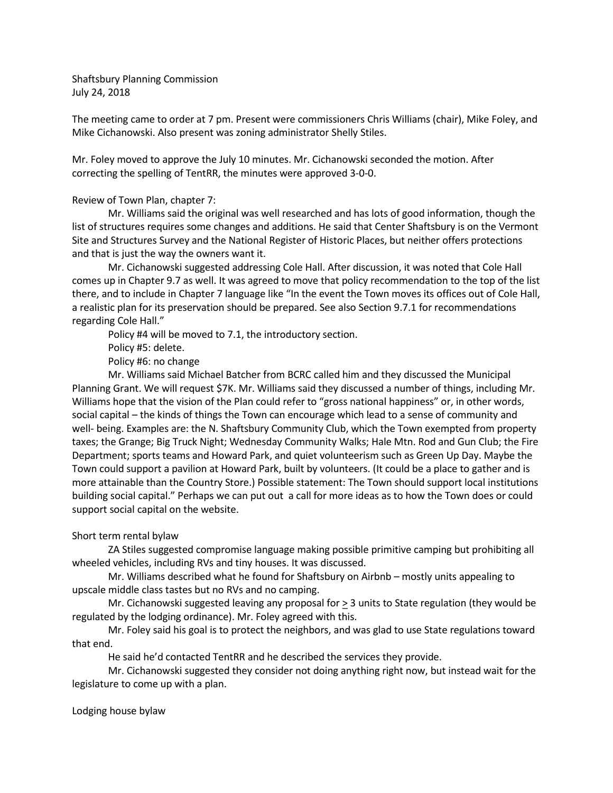Shaftsbury Planning Commission July 24, 2018

The meeting came to order at 7 pm. Present were commissioners Chris Williams (chair), Mike Foley, and Mike Cichanowski. Also present was zoning administrator Shelly Stiles.

Mr. Foley moved to approve the July 10 minutes. Mr. Cichanowski seconded the motion. After correcting the spelling of TentRR, the minutes were approved 3-0-0.

## Review of Town Plan, chapter 7:

Mr. Williams said the original was well researched and has lots of good information, though the list of structures requires some changes and additions. He said that Center Shaftsbury is on the Vermont Site and Structures Survey and the National Register of Historic Places, but neither offers protections and that is just the way the owners want it.

Mr. Cichanowski suggested addressing Cole Hall. After discussion, it was noted that Cole Hall comes up in Chapter 9.7 as well. It was agreed to move that policy recommendation to the top of the list there, and to include in Chapter 7 language like "In the event the Town moves its offices out of Cole Hall, a realistic plan for its preservation should be prepared. See also Section 9.7.1 for recommendations regarding Cole Hall."

Policy #4 will be moved to 7.1, the introductory section.

Policy #5: delete.

Policy #6: no change

Mr. Williams said Michael Batcher from BCRC called him and they discussed the Municipal Planning Grant. We will request \$7K. Mr. Williams said they discussed a number of things, including Mr. Williams hope that the vision of the Plan could refer to "gross national happiness" or, in other words, social capital – the kinds of things the Town can encourage which lead to a sense of community and well- being. Examples are: the N. Shaftsbury Community Club, which the Town exempted from property taxes; the Grange; Big Truck Night; Wednesday Community Walks; Hale Mtn. Rod and Gun Club; the Fire Department; sports teams and Howard Park, and quiet volunteerism such as Green Up Day. Maybe the Town could support a pavilion at Howard Park, built by volunteers. (It could be a place to gather and is more attainable than the Country Store.) Possible statement: The Town should support local institutions building social capital." Perhaps we can put out a call for more ideas as to how the Town does or could support social capital on the website.

## Short term rental bylaw

ZA Stiles suggested compromise language making possible primitive camping but prohibiting all wheeled vehicles, including RVs and tiny houses. It was discussed.

Mr. Williams described what he found for Shaftsbury on Airbnb – mostly units appealing to upscale middle class tastes but no RVs and no camping.

Mr. Cichanowski suggested leaving any proposal for > 3 units to State regulation (they would be regulated by the lodging ordinance). Mr. Foley agreed with this.

Mr. Foley said his goal is to protect the neighbors, and was glad to use State regulations toward that end.

He said he'd contacted TentRR and he described the services they provide.

Mr. Cichanowski suggested they consider not doing anything right now, but instead wait for the legislature to come up with a plan.

## Lodging house bylaw